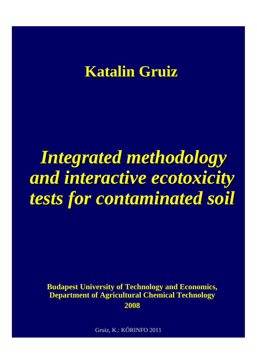### **Katalin Gruiz Katalin Gruiz**

# **Integrated methodology** *and interactive ecotoxicity tests for contaminated soil tests for contaminated soil*

**Budapest University of Technology and Economics, Department of Agricultural Chemical Technology Department of Agricultural Chemical Technology 2008**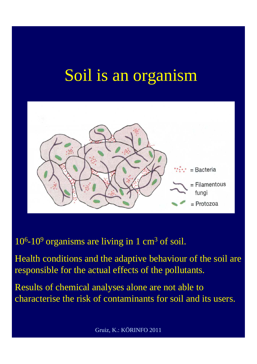# Soil is an organism



 $10<sup>6</sup>$ -10<sup>9</sup> organisms are living in 1 cm<sup>3</sup> of soil.

Health conditions and the adaptive behaviour of the soil are responsible for the actual effects of the pollutants.

Results of chemical analyses alone are not able to characterise the risk of contaminants for soil and its users.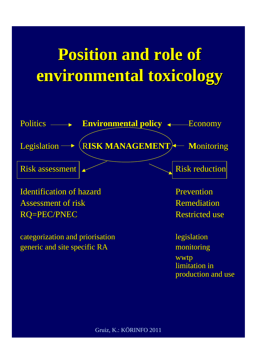# **Position and role of Position and role of environmental toxicology environmental toxicology**

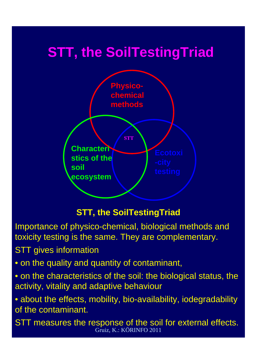### **STT, the SoilTestingTriad**



#### **STT, the SoilTestingTriad**

Importance of physico-chemical, biological methods and toxicity testing is the same. They are complementary.

STT gives information

• on the quality and quantity of contaminant,

• on the characteristics of the soil: the biological status, the activity, vitality and adaptive behaviour

• about the effects, mobility, bio-availability, iodegradability of the contaminant.

Gruiz, K.: KÖRINFO 2011 STT measures the response of the soil for external effects.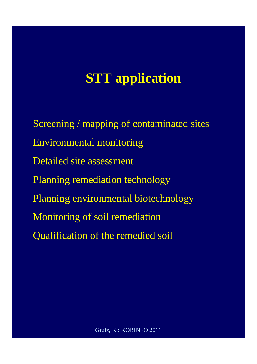### **STT application**

Screening / mapping of contaminated sites Environmental monitoring Detailed site assessment Planning remediation technology Planning environmental biotechnology Monitoring of soil remediation Qualification of the remedied soil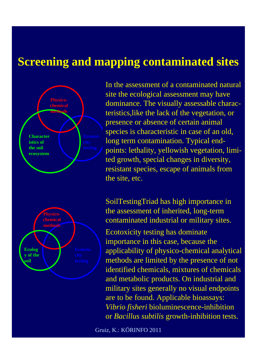#### **Screening and mapping contaminated sites**



In the assessment of a contaminated natural site the ecological assessment may have dominance. The visually assessable characteristics,like the lack of the vegetation, or presence or absence of certain animal species is characteristic in case of an old, long term contamination. Typical endpoints: lethality, yellowish vegetation, limited growth, special changes in diversity, resistant species, escape of animals from the site, etc.

SoilTestingTriad has high importance in the assessment of inherited, long-term contaminated industrial or military sites.

Ecotoxicity testing has dominate importance in this case, because the applicability of physico-chemical analytical methods are limited by the presence of not identified chemicals, mixtures of chemicals and metabolic products. On industrial and military sites generally no visual endpoints are to be found. Applicable bioassays: *Vibrio fisheri* bioluminescence-inhibition or *Bacillus subtilis* growth-inhibition tests.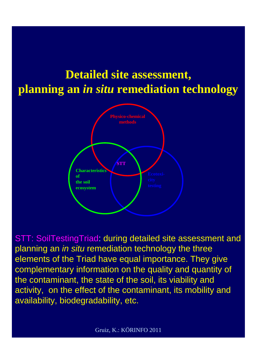### **Detailed site assessment, planning an** *in situ* **remediation technology**



STT: SoilTestingTriad: during detailed site assessment and planning an *in situ* remediation technology the three elements of the Triad have equal importance. They give complementary information on the quality and quantity of the contaminant, the state of the soil, its viability and activity, on the effect of the contaminant, its mobility and availability, biodegradability, etc.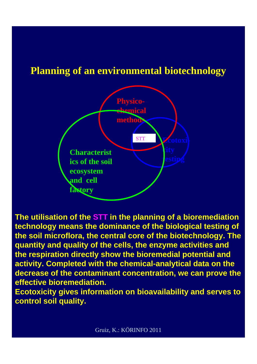#### **Planning of an environmental biotechnology**



**The utilisation of the STT in the planning of a bioremediation technology means the dominance of the biological testing of the soil microflora, the central core of the biotechnology. The quantity and quality of the cells, the enzyme activities and the respiration directly show the bioremedial potential and activity. Completed with the chemical-analytical data on the decrease of the contaminant concentration, we can prove the effective bioremediation.** 

**Ecotoxicity gives information on bioavailability and serves to control soil quality.**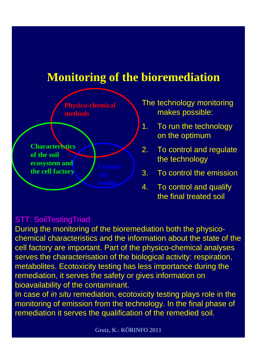### **Monitoring of the bioremediation**



The technology monitoring makes possible:

- 1. To run the technology on the optimum
- 2. To control and regulate the technology
- 3. To control the emission

4. To control and qualify the final treated soil

#### STT: SoilTestingTriad

During the monitoring of the bioremediation both the physicochemical characteristics and the information about the state of the cell factory are important. Part of the physico-chemical analyses serves the characterisation of the biological activity: respiration, metabolites. Ecotoxicity testing has less importance during the remediation, it serves the safety or gives information on bioavailability of the contaminant.

In case of *in situ* remediation, ecotoxicity testing plays role in the monitoring of emission from the technology. In the final phase of remediation it serves the qualification of the remedied soil.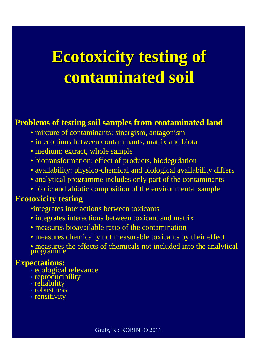# **Ecotoxicity testing of contaminated soil contaminated soil**

#### **Problems of testing soil samples from contaminated land**

- mixture of contaminants: sinergism, antagonism
- interactions between contaminants, matrix and biota
- medium: extract, whole sample
- biotransformation: effect of products, biodegrdation
- availability: physico-chemical and biological availability differs
- analytical programme includes only part of the contaminants
- biotic and abiotic composition of the environmental sample

#### **Ecotoxicity testing**

- •integrates interactions between toxicants
- integrates interactions between toxicant and matrix
- measures bioavailable ratio of the contamination
- measures chemically not measurable toxicants by their effect
- measures the effects of chemicals not included into the analytical programme

#### **Expectations:**

- ecological relevance
- reproducibility
- reliability
- robustness
- rensitivity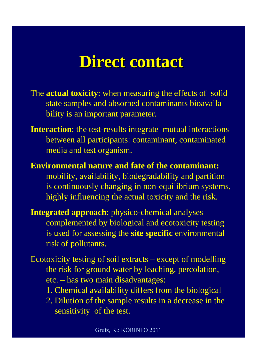## **Direct contact**

- The **actual toxicity**: when measuring the effects of solid state samples and absorbed contaminants bioavailability is an important parameter.
- **Interaction**: the test-results integrate mutual interactions between all participants: contaminant, contaminated media and test organism.
- **Environmental nature and fate of the contaminant:** mobility, availability, biodegradability and partition is continuously changing in non-equilibrium systems, highly influencing the actual toxicity and the risk.
- **Integrated approach**: physico-chemical analyses complemented by biological and ecotoxicity testing is used for assessing the **site specific** environmental risk of pollutants.
- Ecotoxicity testing of soil extracts except of modelling the risk for ground water by leaching, percolation, etc. – has two main disadvantages:
	- 1. Chemical availability differs from the biological
	- 2. Dilution of the sample results in a decrease in the sensitivity of the test.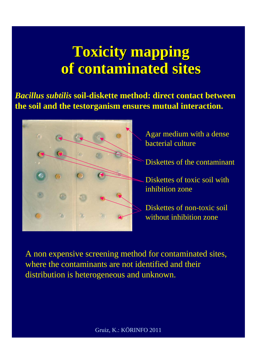### **Toxicity mapping of contaminated sites of contaminated sites**

*Bacillus subtilis* **soil-diskette method: direct contact between the soil and the testorganism ensures mutual interaction.** 



Agar medium with a dense bacterial culture

- Diskettes of the contaminant
- Diskettes of toxic soil with inhibition zone

Diskettes of non-toxic soil without inhibition zone

A non expensive screening method for contaminated sites, where the contaminants are not identified and their distribution is heterogeneous and unknown.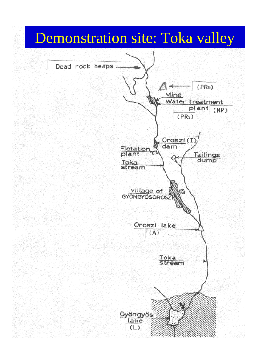## Demonstration site: Toka valley

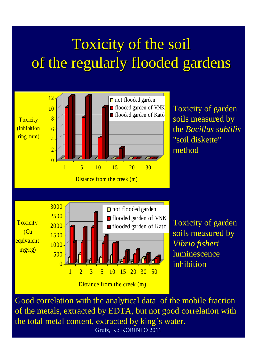# Toxicity of the soil of the regularly flooded gardens



Gruiz, K.: KÖRINFO 2011 of the metals, extracted by EDTA, but not good correlation with the total metal content, extracted by king`s water.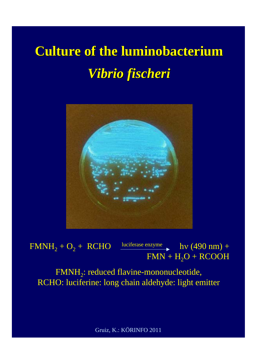# **Culture of the luminobacterium** *Vibrio fis Vibrio fischeri*



 $\frac{1}{2}$  FMNH<sub>2</sub> + O<sub>2</sub> + RCHO luciferase enzyme hv (490 nm) +  $FMN + H<sub>2</sub>O + RCOOH$ 

FMNH2: reduced flavine-mononucleotide, RCHO: luciferine: long chain aldehyde: light emitter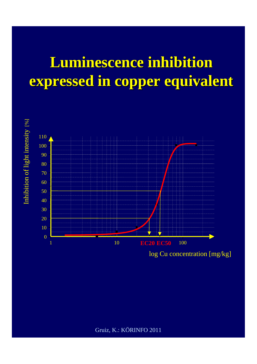## **Luminescence inhibition Luminescence inhibition expressed in copper equivalent**



log Cu concentration [mg/kg]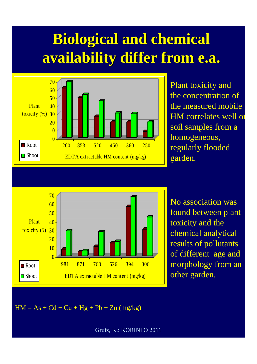# **Biological and chemical availability availability differ from e.a.**



Plant toxicity and the concentration of the measured mobile HM correlates well on soil samples from a homogeneous, regularly flooded garden.

![](_page_16_Figure_3.jpeg)

No association was found between plant toxicity and the chemical analytical results of pollutants of different age and morphology from an other garden.

 $HM = As + Cd + Cu + Hg + Pb + Zn (mg/kg)$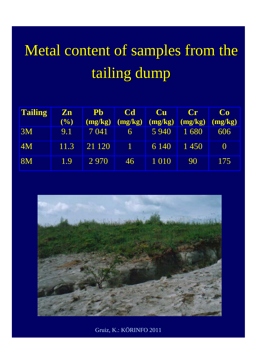# Metal content of samples from the tailing dump

| <b>Tailing</b> | $\mathbf{Z}\mathbf{n}$ | <b>Pb</b> | <b>Cd</b> | <b>Cu</b> | $\mathbf{Cr}$ | Co               |
|----------------|------------------------|-----------|-----------|-----------|---------------|------------------|
|                | $($ %)                 | (mg/kg)   | (mg/kg)   | (mg/kg)   | (mg/kg)       | (mg/kg)          |
| 3M             | 9.1                    | 7 041     | 6         | 5 9 4 0   | 1680          | 606              |
| <b>4M</b>      | 11.3                   | 21 1 20   |           | 6 1 4 0   | 1450          | $\left( \right)$ |
| 8M             | 1.9                    | 2 9 7 0   | 46        | 1 0 1 0   | 90            | 175              |

![](_page_17_Picture_2.jpeg)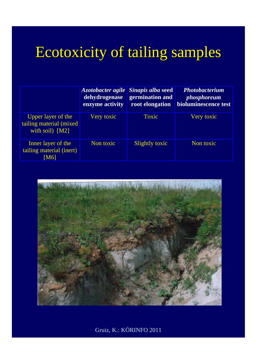# Ecotoxicity of tailing samples

|                                                                          | dehydrogenase<br>enzyme activity | Azotobacter agile Sinapis alba seed<br>germination and<br>root elongation | <b>Photobacterium</b><br><i>phosphoreum</i><br>bioluminescence test |
|--------------------------------------------------------------------------|----------------------------------|---------------------------------------------------------------------------|---------------------------------------------------------------------|
| <b>Upper layer of the</b><br>tailing material (mixed)<br>with soil) [M2] | Very toxic                       | Toxic                                                                     | Very toxic                                                          |
| <b>Inner layer of the</b><br>tailing material (inert)<br>[M6]            | Non toxic                        | Slightly toxic                                                            | Non toxic                                                           |

![](_page_18_Picture_2.jpeg)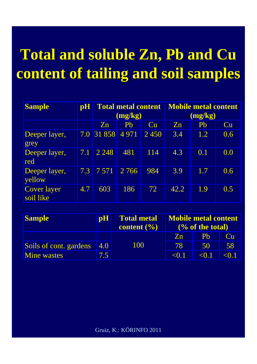# **Total and soluble Zn, Total and soluble Zn, Pb and Cu content of tailing content of tailing and soil and soil samples samples**

| <b>Sample</b>                   | $\mathbf{p}$ H | <b>Total metal content</b><br>(mg/kg) |                |      | <b>Mobile metal content</b><br>(mg/kg) |     |     |
|---------------------------------|----------------|---------------------------------------|----------------|------|----------------------------------------|-----|-----|
|                                 |                | Zn                                    | P <sub>b</sub> | Cu   | Zn                                     | Pb  | Cu  |
| Deeper layer,<br>grey           |                | 7.0 31 858 4 971                      |                | 2450 | 3.4                                    | 1.2 | 0.6 |
| Deeper layer,<br>red            | 7.1            | 2 2 4 8                               | 481            | 114  | 4.3                                    | 0.1 | 0.0 |
| Deeper layer,<br>yellow         | $7.3\parallel$ | 7571                                  | 2 7 6 6        | 984  | 3.9                                    | 1.7 | 0.6 |
| <b>Cover layer</b><br>soil like | 4.7            | 603                                   | 186            | 72   | 42.2                                   | 1.9 | 0.5 |

| <b>Sample</b>          | $\mathbf{p}$ H | <b>Total metal</b>                 | <b>Mobile metal content</b> |         |           |
|------------------------|----------------|------------------------------------|-----------------------------|---------|-----------|
|                        |                | content $\left(\frac{0}{0}\right)$ | $\frac{6}{6}$ of the total) |         |           |
|                        |                |                                    | $Z_{n}$                     | Ph      | <b>Cu</b> |
| Soils of cont. gardens | 4.0            | 100                                | 78                          | 50      | 58        |
| <b>Mine wastes</b>     | 7.5            |                                    | < 0.1                       | $<$ 0.1 | $<$ 0.1   |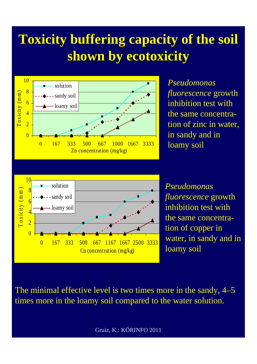### **Toxicity buffering capacity of the soil Toxicity buffering capacity of the soil shown by ecotoxicity shown by ecotoxicity**

![](_page_20_Figure_1.jpeg)

*Pseudomonas fluorescence* growth inhibition test with the same concentration of zinc in water, in sandy and in loamy soil

![](_page_20_Figure_3.jpeg)

*Pseudomonas fluorescence* growth inhibition test with the same concentration of copper in water, in sandy and in loamy soil

The minimal effective level is two times more in the sandy, 4–5 times more in the loamy soil compared to the water solution.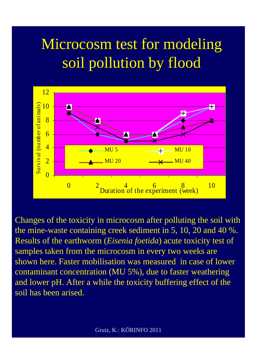# Microcosm test for modeling soil pollution by flood

![](_page_21_Figure_1.jpeg)

Changes of the toxicity in microcosm after polluting the soil with the mine-waste containing creek sediment in 5, 10, 20 and 40 %. Results of the earthworm (*Eisenia foetida*) acute toxicity test of samples taken from the microcosm in every two weeks are shown here. Faster mobilisation was measured in case of lower contaminant concentration (MU 5%), due to faster weathering and lower pH. After a while the toxicity buffering effect of the soil has been arised.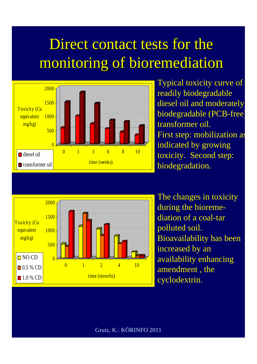## Direct contact tests for the monitoring of bioremediation

![](_page_22_Figure_1.jpeg)

Typical toxicity curve of readily biodegradable diesel oil and moderately biodegradable (PCB-free) transformer oil. First step: mobilization as indicated by growing toxicity. Second step: biodegradation.

![](_page_22_Figure_3.jpeg)

The changes in toxicity during the bioremediation of a coal-tar polluted soil. Bioavailability has been increased by an availability enhancing amendment , the cyclodextrin.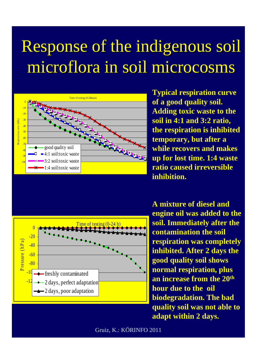# Response of the indigenous soil microflora in soil microcosms

![](_page_23_Figure_1.jpeg)

**Typical respiration curve of a good quality soil. Adding toxic waste to the soil in 4:1 and 3:2 ratio, the respiration is inhibited temporary, but after a while recovers and makes up for lost time. 1:4 waste ratio caused irreversible inhibition.** 

![](_page_23_Figure_3.jpeg)

**A mixture of diesel and engine oil was added to the soil. Immediately after the contamination the soil respiration was completely inhibited. After 2 days the good quality soil shows normal respiration, plus an increase from the 20th hour due to the oil biodegradation. The bad quality soil was not able to adapt within 2 days.**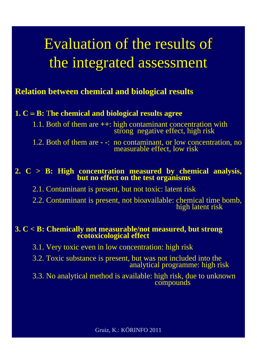# Evaluation of the results of Evaluation of the results of the integrated assessment

#### **Relation between chemical and biological results**

#### **1. C = B:** The chemical and biological results agree

1.1. Both of them are **++**: high contaminant concentration with strong negative effect, high risk

1.2. Both of them are **- -**: no contaminant, or low concentration, no measurable effect, low risk

### **2. C > B: High concentration measured by chemical analysis, but no effect on the test organisms**

2.1. Contaminant is present, but not toxic: latent risk

2.2. Contaminant is present, not bioavailable: chemical time bomb, high latent risk

### **3. C < B: Chemically not measurable/not measured, but strong ecotoxicological effect**

3.1. Very toxic even in low concentration: high risk

- 3.2. Toxic substance is present, but was not included into the analytical programme: high risk
- 3.3. No analytical method is available: high risk, due to unknown compounds